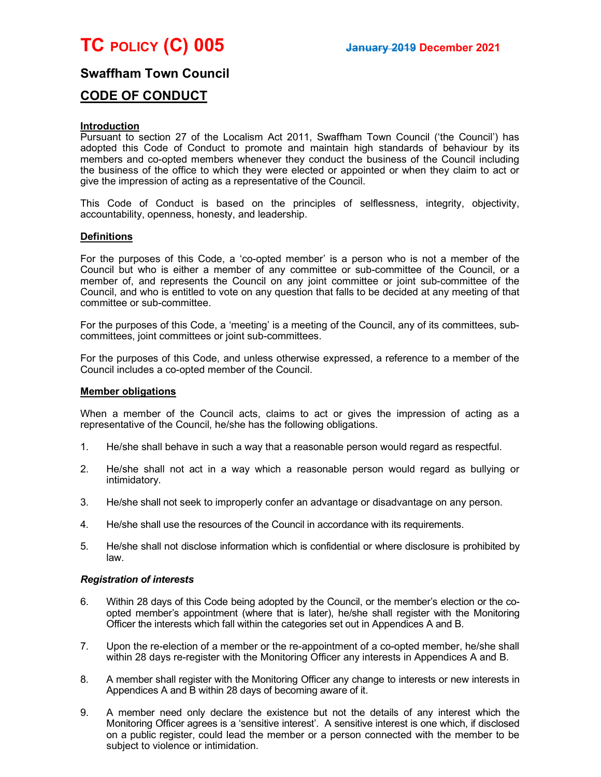

# Swaffham Town Council

# CODE OF CONDUCT

#### **Introduction**

Pursuant to section 27 of the Localism Act 2011, Swaffham Town Council ('the Council') has adopted this Code of Conduct to promote and maintain high standards of behaviour by its members and co-opted members whenever they conduct the business of the Council including the business of the office to which they were elected or appointed or when they claim to act or give the impression of acting as a representative of the Council.

This Code of Conduct is based on the principles of selflessness, integrity, objectivity, accountability, openness, honesty, and leadership.

#### **Definitions**

For the purposes of this Code, a 'co-opted member' is a person who is not a member of the Council but who is either a member of any committee or sub-committee of the Council, or a member of, and represents the Council on any joint committee or joint sub-committee of the Council, and who is entitled to vote on any question that falls to be decided at any meeting of that committee or sub-committee.

For the purposes of this Code, a 'meeting' is a meeting of the Council, any of its committees, subcommittees, joint committees or joint sub-committees.

For the purposes of this Code, and unless otherwise expressed, a reference to a member of the Council includes a co-opted member of the Council.

#### Member obligations

When a member of the Council acts, claims to act or gives the impression of acting as a representative of the Council, he/she has the following obligations.

- 1. He/she shall behave in such a way that a reasonable person would regard as respectful.
- 2. He/she shall not act in a way which a reasonable person would regard as bullying or intimidatory.
- 3. He/she shall not seek to improperly confer an advantage or disadvantage on any person.
- 4. He/she shall use the resources of the Council in accordance with its requirements.
- 5. He/she shall not disclose information which is confidential or where disclosure is prohibited by law.

#### Registration of interests

- 6. Within 28 days of this Code being adopted by the Council, or the member's election or the coopted member's appointment (where that is later), he/she shall register with the Monitoring Officer the interests which fall within the categories set out in Appendices A and B.
- 7. Upon the re-election of a member or the re-appointment of a co-opted member, he/she shall within 28 days re-register with the Monitoring Officer any interests in Appendices A and B.
- 8. A member shall register with the Monitoring Officer any change to interests or new interests in Appendices A and B within 28 days of becoming aware of it.
- 9. A member need only declare the existence but not the details of any interest which the Monitoring Officer agrees is a 'sensitive interest'. A sensitive interest is one which, if disclosed on a public register, could lead the member or a person connected with the member to be subject to violence or intimidation.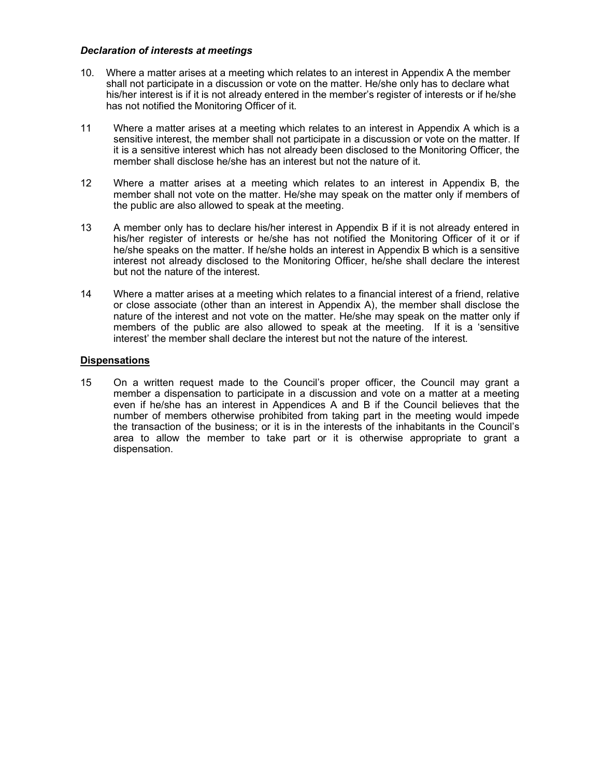### Declaration of interests at meetings

- 10. Where a matter arises at a meeting which relates to an interest in Appendix A the member shall not participate in a discussion or vote on the matter. He/she only has to declare what his/her interest is if it is not already entered in the member's register of interests or if he/she has not notified the Monitoring Officer of it.
- 11 Where a matter arises at a meeting which relates to an interest in Appendix A which is a sensitive interest, the member shall not participate in a discussion or vote on the matter. If it is a sensitive interest which has not already been disclosed to the Monitoring Officer, the member shall disclose he/she has an interest but not the nature of it.
- 12 Where a matter arises at a meeting which relates to an interest in Appendix B, the member shall not vote on the matter. He/she may speak on the matter only if members of the public are also allowed to speak at the meeting.
- 13 A member only has to declare his/her interest in Appendix B if it is not already entered in his/her register of interests or he/she has not notified the Monitoring Officer of it or if he/she speaks on the matter. If he/she holds an interest in Appendix B which is a sensitive interest not already disclosed to the Monitoring Officer, he/she shall declare the interest but not the nature of the interest.
- 14 Where a matter arises at a meeting which relates to a financial interest of a friend, relative or close associate (other than an interest in Appendix A), the member shall disclose the nature of the interest and not vote on the matter. He/she may speak on the matter only if members of the public are also allowed to speak at the meeting. If it is a 'sensitive interest' the member shall declare the interest but not the nature of the interest.

### **Dispensations**

15 On a written request made to the Council's proper officer, the Council may grant a member a dispensation to participate in a discussion and vote on a matter at a meeting even if he/she has an interest in Appendices A and B if the Council believes that the number of members otherwise prohibited from taking part in the meeting would impede the transaction of the business; or it is in the interests of the inhabitants in the Council's area to allow the member to take part or it is otherwise appropriate to grant a dispensation.